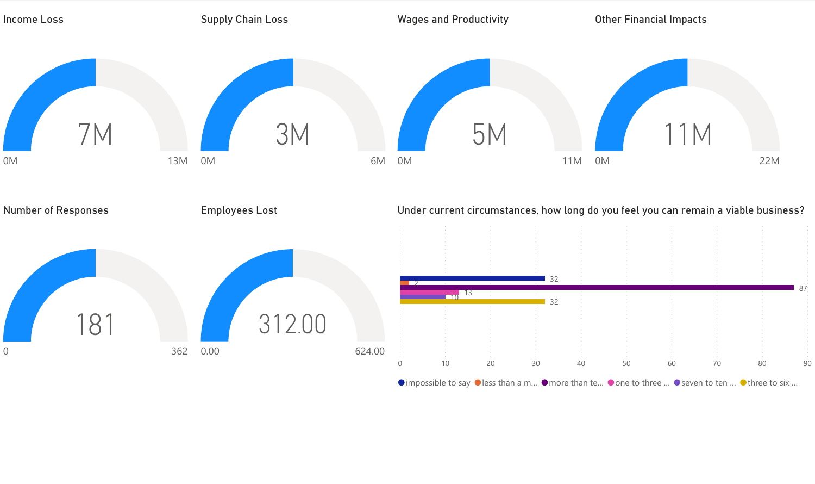

 $\bullet$  impossible to say  $\bullet$  less than a m...  $\bullet$  more than te...  $\bullet$  one to three ...  $\bullet$  seven to ten ...  $\bullet$  three to six ...